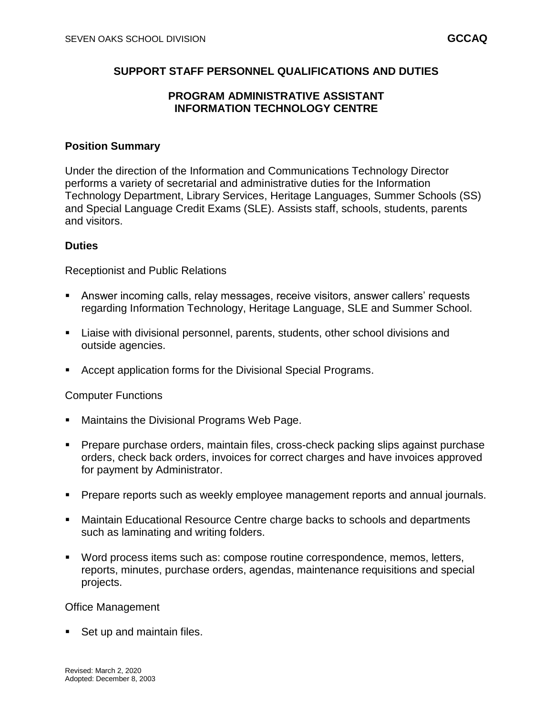## **SUPPORT STAFF PERSONNEL QUALIFICATIONS AND DUTIES**

## **PROGRAM ADMINISTRATIVE ASSISTANT INFORMATION TECHNOLOGY CENTRE**

### **Position Summary**

Under the direction of the Information and Communications Technology Director performs a variety of secretarial and administrative duties for the Information Technology Department, Library Services, Heritage Languages, Summer Schools (SS) and Special Language Credit Exams (SLE). Assists staff, schools, students, parents and visitors.

### **Duties**

Receptionist and Public Relations

- Answer incoming calls, relay messages, receive visitors, answer callers' requests regarding Information Technology, Heritage Language, SLE and Summer School.
- Liaise with divisional personnel, parents, students, other school divisions and outside agencies.
- Accept application forms for the Divisional Special Programs.

#### Computer Functions

- **Maintains the Divisional Programs Web Page.**
- Prepare purchase orders, maintain files, cross-check packing slips against purchase orders, check back orders, invoices for correct charges and have invoices approved for payment by Administrator.
- **Prepare reports such as weekly employee management reports and annual journals.**
- Maintain Educational Resource Centre charge backs to schools and departments such as laminating and writing folders.
- Word process items such as: compose routine correspondence, memos, letters, reports, minutes, purchase orders, agendas, maintenance requisitions and special projects.

#### Office Management

Set up and maintain files.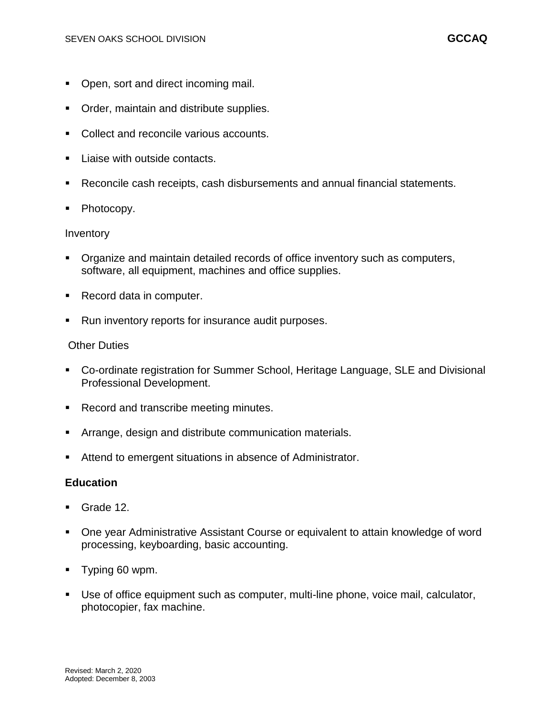- Open, sort and direct incoming mail.
- Order, maintain and distribute supplies.
- Collect and reconcile various accounts.
- Liaise with outside contacts.
- Reconcile cash receipts, cash disbursements and annual financial statements.
- Photocopy.

### Inventory

- Organize and maintain detailed records of office inventory such as computers, software, all equipment, machines and office supplies.
- Record data in computer.
- Run inventory reports for insurance audit purposes.

## Other Duties

- Co-ordinate registration for Summer School, Heritage Language, SLE and Divisional Professional Development.
- Record and transcribe meeting minutes.
- Arrange, design and distribute communication materials.
- Attend to emergent situations in absence of Administrator.

## **Education**

- Grade 12.
- One year Administrative Assistant Course or equivalent to attain knowledge of word processing, keyboarding, basic accounting.
- **Typing 60 wpm.**
- Use of office equipment such as computer, multi-line phone, voice mail, calculator, photocopier, fax machine.